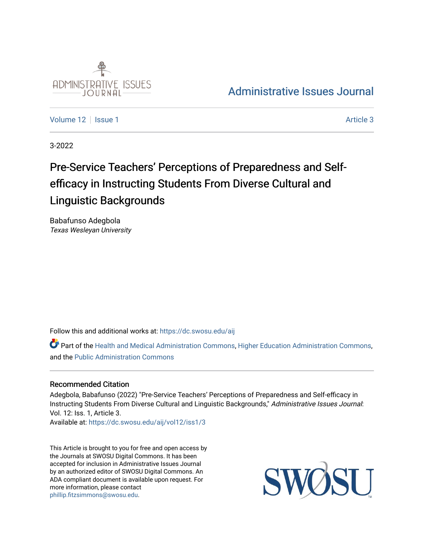

## [Administrative Issues Journal](https://dc.swosu.edu/aij)

[Volume 12](https://dc.swosu.edu/aij/vol12) | [Issue 1](https://dc.swosu.edu/aij/vol12/iss1) Article 3

3-2022

# Pre-Service Teachers' Perceptions of Preparedness and Selfefficacy in Instructing Students From Diverse Cultural and Linguistic Backgrounds

Babafunso Adegbola Texas Wesleyan University

Follow this and additional works at: [https://dc.swosu.edu/aij](https://dc.swosu.edu/aij?utm_source=dc.swosu.edu%2Faij%2Fvol12%2Fiss1%2F3&utm_medium=PDF&utm_campaign=PDFCoverPages)

Part of the [Health and Medical Administration Commons](http://network.bepress.com/hgg/discipline/663?utm_source=dc.swosu.edu%2Faij%2Fvol12%2Fiss1%2F3&utm_medium=PDF&utm_campaign=PDFCoverPages), [Higher Education Administration Commons](http://network.bepress.com/hgg/discipline/791?utm_source=dc.swosu.edu%2Faij%2Fvol12%2Fiss1%2F3&utm_medium=PDF&utm_campaign=PDFCoverPages), and the [Public Administration Commons](http://network.bepress.com/hgg/discipline/398?utm_source=dc.swosu.edu%2Faij%2Fvol12%2Fiss1%2F3&utm_medium=PDF&utm_campaign=PDFCoverPages)

#### Recommended Citation

Adegbola, Babafunso (2022) "Pre-Service Teachers' Perceptions of Preparedness and Self-efficacy in Instructing Students From Diverse Cultural and Linguistic Backgrounds," Administrative Issues Journal: Vol. 12: Iss. 1, Article 3.

Available at: [https://dc.swosu.edu/aij/vol12/iss1/3](https://dc.swosu.edu/aij/vol12/iss1/3?utm_source=dc.swosu.edu%2Faij%2Fvol12%2Fiss1%2F3&utm_medium=PDF&utm_campaign=PDFCoverPages) 

This Article is brought to you for free and open access by the Journals at SWOSU Digital Commons. It has been accepted for inclusion in Administrative Issues Journal by an authorized editor of SWOSU Digital Commons. An ADA compliant document is available upon request. For more information, please contact [phillip.fitzsimmons@swosu.edu](mailto:phillip.fitzsimmons@swosu.edu).

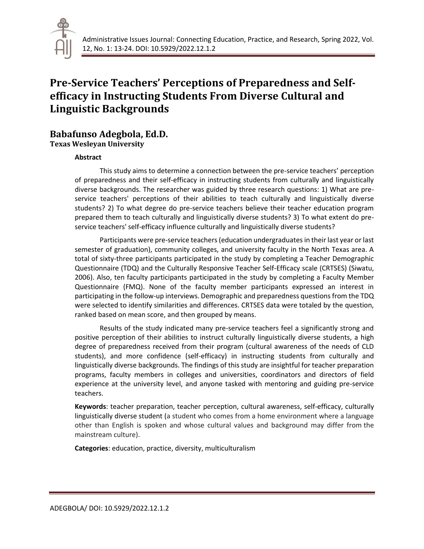

### **Pre-Service Teachers' Perceptions of Preparedness and Selfefficacy in Instructing Students From Diverse Cultural and Linguistic Backgrounds**

### **Babafunso Adegbola, Ed.D.**

**Texas Wesleyan University**

#### **Abstract**

This study aims to determine a connection between the pre-service teachers' perception of preparedness and their self-efficacy in instructing students from culturally and linguistically diverse backgrounds. The researcher was guided by three research questions: 1) What are preservice teachers' perceptions of their abilities to teach culturally and linguistically diverse students? 2) To what degree do pre-service teachers believe their teacher education program prepared them to teach culturally and linguistically diverse students? 3) To what extent do preservice teachers' self-efficacy influence culturally and linguistically diverse students?

Participants were pre-service teachers (education undergraduates in their last year or last semester of graduation), community colleges, and university faculty in the North Texas area. A total of sixty-three participants participated in the study by completing a Teacher Demographic Questionnaire (TDQ) and the Culturally Responsive Teacher Self-Efficacy scale (CRTSES) (Siwatu, 2006). Also, ten faculty participants participated in the study by completing a Faculty Member Questionnaire (FMQ). None of the faculty member participants expressed an interest in participating in the follow-up interviews. Demographic and preparedness questions from the TDQ were selected to identify similarities and differences. CRTSES data were totaled by the question, ranked based on mean score, and then grouped by means.

Results of the study indicated many pre-service teachers feel a significantly strong and positive perception of their abilities to instruct culturally linguistically diverse students, a high degree of preparedness received from their program (cultural awareness of the needs of CLD students), and more confidence (self-efficacy) in instructing students from culturally and linguistically diverse backgrounds. The findings of this study are insightful for teacher preparation programs, faculty members in colleges and universities, coordinators and directors of field experience at the university level, and anyone tasked with mentoring and guiding pre-service teachers.

**Keywords**: teacher preparation, teacher perception, cultural awareness, self-efficacy, culturally linguistically diverse student (a student who comes from a home environment where a language other than English is spoken and whose cultural values and background may differ from the mainstream culture).

**Categories**: education, practice, diversity, multiculturalism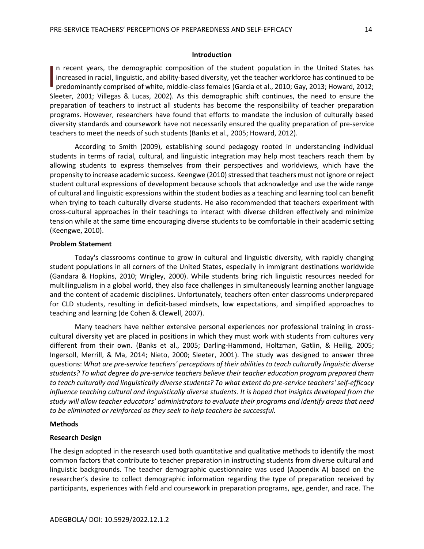#### **Introduction**

n recent years, the demographic composition of the student population in the United States has increased in racial, linguistic, and ability-based diversity, yet the teacher workforce has continued to be predominantly comprised of white, middle-class females (Garcia et al., 2010; Gay, 2013; Howard, 2012; Sleeter, 2001; Villegas & Lucas, 2002). As this demographic shift continues, the need to ensure the preparation of teachers to instruct all students has become the responsibility of teacher preparation programs. However, researchers have found that efforts to mandate the inclusion of culturally based diversity standards and coursework have not necessarily ensured the quality preparation of pre-service teachers to meet the needs of such students (Banks et al., 2005; Howard, 2012).  $\overline{\phantom{a}}$ 

According to Smith (2009), establishing sound pedagogy rooted in understanding individual students in terms of racial, cultural, and linguistic integration may help most teachers reach them by allowing students to express themselves from their perspectives and worldviews, which have the propensity to increase academic success. Keengwe (2010) stressed that teachers must not ignore or reject student cultural expressions of development because schools that acknowledge and use the wide range of cultural and linguistic expressions within the student bodies as a teaching and learning tool can benefit when trying to teach culturally diverse students. He also recommended that teachers experiment with cross-cultural approaches in their teachings to interact with diverse children effectively and minimize tension while at the same time encouraging diverse students to be comfortable in their academic setting (Keengwe, 2010).

#### **Problem Statement**

Today's classrooms continue to grow in cultural and linguistic diversity, with rapidly changing student populations in all corners of the United States, especially in immigrant destinations worldwide (Gandara & Hopkins, 2010; Wrigley, 2000). While students bring rich linguistic resources needed for multilingualism in a global world, they also face challenges in simultaneously learning another language and the content of academic disciplines. Unfortunately, teachers often enter classrooms underprepared for CLD students, resulting in deficit-based mindsets, low expectations, and simplified approaches to teaching and learning (de Cohen & Clewell, 2007).

Many teachers have neither extensive personal experiences nor professional training in crosscultural diversity yet are placed in positions in which they must work with students from cultures very different from their own. (Banks et al., 2005; Darling-Hammond, Holtzman, Gatlin, & Heilig, 2005; Ingersoll, Merrill, & Ma, 2014; Nieto, 2000; Sleeter, 2001). The study was designed to answer three questions: *What are pre-service teachers' perceptions of their abilities to teach culturally linguistic diverse students? To what degree do pre-service teachers believe their teacher education program prepared them to teach culturally and linguistically diverse students? To what extent do pre-service teachers' self-efficacy influence teaching cultural and linguistically diverse students. It is hoped that insights developed from the study will allow teacher educators' administrators to evaluate their programs and identify areas that need to be eliminated or reinforced as they seek to help teachers be successful.*

#### **Methods**

#### **Research Design**

The design adopted in the research used both quantitative and qualitative methods to identify the most common factors that contribute to teacher preparation in instructing students from diverse cultural and linguistic backgrounds. The teacher demographic questionnaire was used (Appendix A) based on the researcher's desire to collect demographic information regarding the type of preparation received by participants, experiences with field and coursework in preparation programs, age, gender, and race. The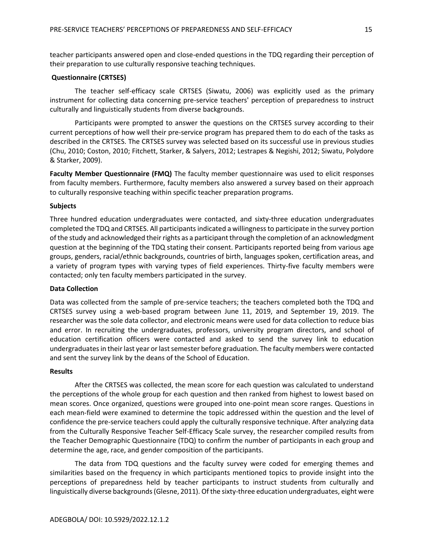teacher participants answered open and close-ended questions in the TDQ regarding their perception of their preparation to use culturally responsive teaching techniques.

#### **Questionnaire (CRTSES)**

The teacher self-efficacy scale CRTSES (Siwatu, 2006) was explicitly used as the primary instrument for collecting data concerning pre-service teachers' perception of preparedness to instruct culturally and linguistically students from diverse backgrounds.

Participants were prompted to answer the questions on the CRTSES survey according to their current perceptions of how well their pre-service program has prepared them to do each of the tasks as described in the CRTSES. The CRTSES survey was selected based on its successful use in previous studies (Chu, 2010; Coston, 2010; Fitchett, Starker, & Salyers, 2012; Lestrapes & Negishi, 2012; Siwatu, Polydore & Starker, 2009).

**Faculty Member Questionnaire (FMQ)** The faculty member questionnaire was used to elicit responses from faculty members. Furthermore, faculty members also answered a survey based on their approach to culturally responsive teaching within specific teacher preparation programs.

#### **Subjects**

Three hundred education undergraduates were contacted, and sixty-three education undergraduates completed the TDQ and CRTSES. All participants indicated a willingness to participate in the survey portion of the study and acknowledged their rights as a participant through the completion of an acknowledgment question at the beginning of the TDQ stating their consent. Participants reported being from various age groups, genders, racial/ethnic backgrounds, countries of birth, languages spoken, certification areas, and a variety of program types with varying types of field experiences. Thirty-five faculty members were contacted; only ten faculty members participated in the survey.

#### **Data Collection**

Data was collected from the sample of pre-service teachers; the teachers completed both the TDQ and CRTSES survey using a web-based program between June 11, 2019, and September 19, 2019. The researcher was the sole data collector, and electronic means were used for data collection to reduce bias and error. In recruiting the undergraduates, professors, university program directors, and school of education certification officers were contacted and asked to send the survey link to education undergraduates in their last year or last semester before graduation. The faculty members were contacted and sent the survey link by the deans of the School of Education.

#### **Results**

After the CRTSES was collected, the mean score for each question was calculated to understand the perceptions of the whole group for each question and then ranked from highest to lowest based on mean scores. Once organized, questions were grouped into one-point mean score ranges. Questions in each mean-field were examined to determine the topic addressed within the question and the level of confidence the pre-service teachers could apply the culturally responsive technique. After analyzing data from the Culturally Responsive Teacher Self-Efficacy Scale survey, the researcher compiled results from the Teacher Demographic Questionnaire (TDQ) to confirm the number of participants in each group and determine the age, race, and gender composition of the participants.

The data from TDQ questions and the faculty survey were coded for emerging themes and similarities based on the frequency in which participants mentioned topics to provide insight into the perceptions of preparedness held by teacher participants to instruct students from culturally and linguistically diverse backgrounds (Glesne, 2011). Of the sixty-three education undergraduates, eight were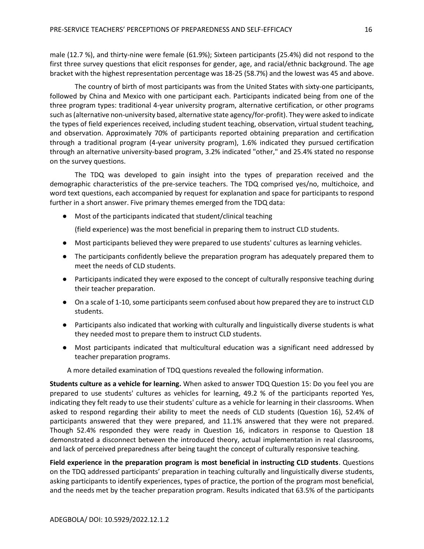male (12.7 %), and thirty-nine were female (61.9%); Sixteen participants (25.4%) did not respond to the first three survey questions that elicit responses for gender, age, and racial/ethnic background. The age bracket with the highest representation percentage was 18-25 (58.7%) and the lowest was 45 and above.

The country of birth of most participants was from the United States with sixty-one participants, followed by China and Mexico with one participant each. Participants indicated being from one of the three program types: traditional 4-year university program, alternative certification, or other programs such as (alternative non-university based, alternative state agency/for-profit). They were asked to indicate the types of field experiences received, including student teaching, observation, virtual student teaching, and observation. Approximately 70% of participants reported obtaining preparation and certification through a traditional program (4-year university program), 1.6% indicated they pursued certification through an alternative university-based program, 3.2% indicated "other," and 25.4% stated no response on the survey questions.

The TDQ was developed to gain insight into the types of preparation received and the demographic characteristics of the pre-service teachers. The TDQ comprised yes/no, multichoice, and word text questions, each accompanied by request for explanation and space for participants to respond further in a short answer. Five primary themes emerged from the TDQ data:

● Most of the participants indicated that student/clinical teaching

(field experience) was the most beneficial in preparing them to instruct CLD students.

- Most participants believed they were prepared to use students' cultures as learning vehicles.
- The participants confidently believe the preparation program has adequately prepared them to meet the needs of CLD students.
- Participants indicated they were exposed to the concept of culturally responsive teaching during their teacher preparation.
- On a scale of 1-10, some participants seem confused about how prepared they are to instruct CLD students.
- Participants also indicated that working with culturally and linguistically diverse students is what they needed most to prepare them to instruct CLD students.
- Most participants indicated that multicultural education was a significant need addressed by teacher preparation programs.

A more detailed examination of TDQ questions revealed the following information.

**Students culture as a vehicle for learning.** When asked to answer TDQ Question 15: Do you feel you are prepared to use students' cultures as vehicles for learning, 49.2 % of the participants reported Yes, indicating they felt ready to use their students' culture as a vehicle for learning in their classrooms. When asked to respond regarding their ability to meet the needs of CLD students (Question 16), 52.4% of participants answered that they were prepared, and 11.1% answered that they were not prepared. Though 52.4% responded they were ready in Question 16, indicators in response to Question 18 demonstrated a disconnect between the introduced theory, actual implementation in real classrooms, and lack of perceived preparedness after being taught the concept of culturally responsive teaching.

**Field experience in the preparation program is most beneficial in instructing CLD students**. Questions on the TDQ addressed participants' preparation in teaching culturally and linguistically diverse students, asking participants to identify experiences, types of practice, the portion of the program most beneficial, and the needs met by the teacher preparation program. Results indicated that 63.5% of the participants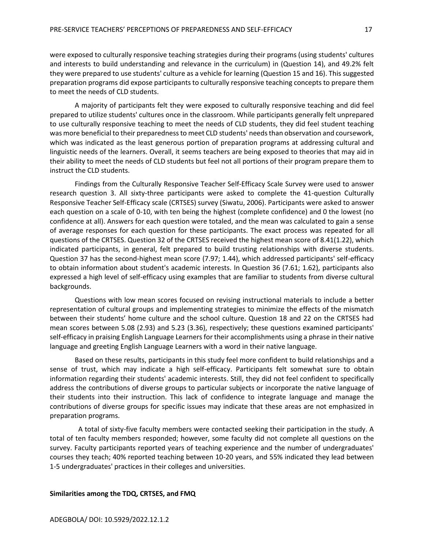were exposed to culturally responsive teaching strategies during their programs (using students' cultures and interests to build understanding and relevance in the curriculum) in (Question 14), and 49.2% felt they were prepared to use students' culture as a vehicle for learning (Question 15 and 16). This suggested preparation programs did expose participants to culturally responsive teaching concepts to prepare them to meet the needs of CLD students.

A majority of participants felt they were exposed to culturally responsive teaching and did feel prepared to utilize students' cultures once in the classroom. While participants generally felt unprepared to use culturally responsive teaching to meet the needs of CLD students, they did feel student teaching was more beneficial to their preparedness to meet CLD students' needs than observation and coursework, which was indicated as the least generous portion of preparation programs at addressing cultural and linguistic needs of the learners. Overall, it seems teachers are being exposed to theories that may aid in their ability to meet the needs of CLD students but feel not all portions of their program prepare them to instruct the CLD students.

Findings from the Culturally Responsive Teacher Self-Efficacy Scale Survey were used to answer research question 3. All sixty-three participants were asked to complete the 41-question Culturally Responsive Teacher Self-Efficacy scale (CRTSES) survey (Siwatu, 2006). Participants were asked to answer each question on a scale of 0-10, with ten being the highest (complete confidence) and 0 the lowest (no confidence at all). Answers for each question were totaled, and the mean was calculated to gain a sense of average responses for each question for these participants. The exact process was repeated for all questions of the CRTSES. Question 32 of the CRTSES received the highest mean score of 8.41(1.22), which indicated participants, in general, felt prepared to build trusting relationships with diverse students. Question 37 has the second-highest mean score (7.97; 1.44), which addressed participants' self-efficacy to obtain information about student's academic interests. In Question 36 (7.61; 1.62), participants also expressed a high level of self-efficacy using examples that are familiar to students from diverse cultural backgrounds.

Questions with low mean scores focused on revising instructional materials to include a better representation of cultural groups and implementing strategies to minimize the effects of the mismatch between their students' home culture and the school culture. Question 18 and 22 on the CRTSES had mean scores between 5.08 (2.93) and 5.23 (3.36), respectively; these questions examined participants' self-efficacy in praising English Language Learners for their accomplishments using a phrase in their native language and greeting English Language Learners with a word in their native language.

Based on these results, participants in this study feel more confident to build relationships and a sense of trust, which may indicate a high self-efficacy. Participants felt somewhat sure to obtain information regarding their students' academic interests. Still, they did not feel confident to specifically address the contributions of diverse groups to particular subjects or incorporate the native language of their students into their instruction. This lack of confidence to integrate language and manage the contributions of diverse groups for specific issues may indicate that these areas are not emphasized in preparation programs.

 A total of sixty-five faculty members were contacted seeking their participation in the study. A total of ten faculty members responded; however, some faculty did not complete all questions on the survey. Faculty participants reported years of teaching experience and the number of undergraduates' courses they teach; 40% reported teaching between 10-20 years, and 55% indicated they lead between 1-5 undergraduates' practices in their colleges and universities.

#### **Similarities among the TDQ, CRTSES, and FMQ**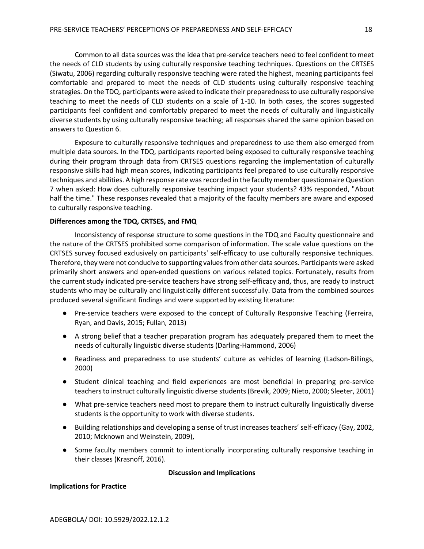Common to all data sources was the idea that pre-service teachers need to feel confident to meet the needs of CLD students by using culturally responsive teaching techniques. Questions on the CRTSES (Siwatu, 2006) regarding culturally responsive teaching were rated the highest, meaning participants feel comfortable and prepared to meet the needs of CLD students using culturally responsive teaching strategies. On the TDQ, participants were asked to indicate their preparedness to use culturally responsive teaching to meet the needs of CLD students on a scale of 1-10. In both cases, the scores suggested participants feel confident and comfortably prepared to meet the needs of culturally and linguistically diverse students by using culturally responsive teaching; all responses shared the same opinion based on answers to Question 6.

Exposure to culturally responsive techniques and preparedness to use them also emerged from multiple data sources. In the TDQ, participants reported being exposed to culturally responsive teaching during their program through data from CRTSES questions regarding the implementation of culturally responsive skills had high mean scores, indicating participants feel prepared to use culturally responsive techniques and abilities. A high response rate was recorded in the faculty member questionnaire Question 7 when asked: How does culturally responsive teaching impact your students? 43% responded, "About half the time." These responses revealed that a majority of the faculty members are aware and exposed to culturally responsive teaching.

#### **Differences among the TDQ, CRTSES, and FMQ**

Inconsistency of response structure to some questions in the TDQ and Faculty questionnaire and the nature of the CRTSES prohibited some comparison of information. The scale value questions on the CRTSES survey focused exclusively on participants' self-efficacy to use culturally responsive techniques. Therefore, they were not conducive to supporting values from other data sources. Participants were asked primarily short answers and open**-**ended questions on various related topics. Fortunately, results from the current study indicated pre-service teachers have strong self-efficacy and, thus, are ready to instruct students who may be culturally and linguistically different successfully. Data from the combined sources produced several significant findings and were supported by existing literature:

- Pre-service teachers were exposed to the concept of Culturally Responsive Teaching (Ferreira, Ryan, and Davis, 2015; Fullan, 2013)
- A strong belief that a teacher preparation program has adequately prepared them to meet the needs of culturally linguistic diverse students (Darling-Hammond, 2006)
- Readiness and preparedness to use students' culture as vehicles of learning (Ladson-Billings, 2000)
- Student clinical teaching and field experiences are most beneficial in preparing pre-service teachers to instruct culturally linguistic diverse students (Brevik, 2009; Nieto, 2000; Sleeter, 2001)
- What pre-service teachers need most to prepare them to instruct culturally linguistically diverse students is the opportunity to work with diverse students.
- Building relationships and developing a sense of trust increases teachers' self-efficacy (Gay, 2002, 2010; Mcknown and Weinstein, 2009),
- Some faculty members commit to intentionally incorporating culturally responsive teaching in their classes (Krasnoff, 2016).

#### **Discussion and Implications**

#### **Implications for Practice**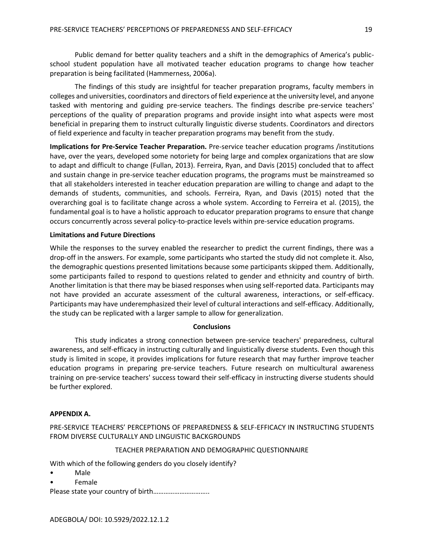Public demand for better quality teachers and a shift in the demographics of America's publicschool student population have all motivated teacher education programs to change how teacher preparation is being facilitated (Hammerness, 2006a).

The findings of this study are insightful for teacher preparation programs, faculty members in colleges and universities, coordinators and directors of field experience at the university level, and anyone tasked with mentoring and guiding pre-service teachers. The findings describe pre-service teachers' perceptions of the quality of preparation programs and provide insight into what aspects were most beneficial in preparing them to instruct culturally linguistic diverse students. Coordinators and directors of field experience and faculty in teacher preparation programs may benefit from the study.

**Implications for Pre-Service Teacher Preparation.** Pre-service teacher education programs /institutions have, over the years, developed some notoriety for being large and complex organizations that are slow to adapt and difficult to change (Fullan, 2013). Ferreira, Ryan, and Davis (2015) concluded that to affect and sustain change in pre-service teacher education programs, the programs must be mainstreamed so that all stakeholders interested in teacher education preparation are willing to change and adapt to the demands of students, communities, and schools. Ferreira, Ryan, and Davis (2015) noted that the overarching goal is to facilitate change across a whole system. According to Ferreira et al. (2015), the fundamental goal is to have a holistic approach to educator preparation programs to ensure that change occurs concurrently across several policy-to-practice levels within pre-service education programs.

#### **Limitations and Future Directions**

While the responses to the survey enabled the researcher to predict the current findings, there was a drop-off in the answers. For example, some participants who started the study did not complete it. Also, the demographic questions presented limitations because some participants skipped them. Additionally, some participants failed to respond to questions related to gender and ethnicity and country of birth. Another limitation is that there may be biased responses when using self-reported data. Participants may not have provided an accurate assessment of the cultural awareness, interactions, or self-efficacy. Participants may have underemphasized their level of cultural interactions and self-efficacy. Additionally, the study can be replicated with a larger sample to allow for generalization.

#### **Conclusions**

This study indicates a strong connection between pre-service teachers' preparedness, cultural awareness, and self-efficacy in instructing culturally and linguistically diverse students. Even though this study is limited in scope, it provides implications for future research that may further improve teacher education programs in preparing pre-service teachers. Future research on multicultural awareness training on pre-service teachers' success toward their self-efficacy in instructing diverse students should be further explored.

#### **APPENDIX A.**

PRE-SERVICE TEACHERS' PERCEPTIONS OF PREPAREDNESS & SELF-EFFICACY IN INSTRUCTING STUDENTS FROM DIVERSE CULTURALLY AND LINGUISTIC BACKGROUNDS

#### TEACHER PREPARATION AND DEMOGRAPHIC QUESTIONNAIRE

With which of the following genders do you closely identify?

- Male
- Female

Please state your country of birth…………………………..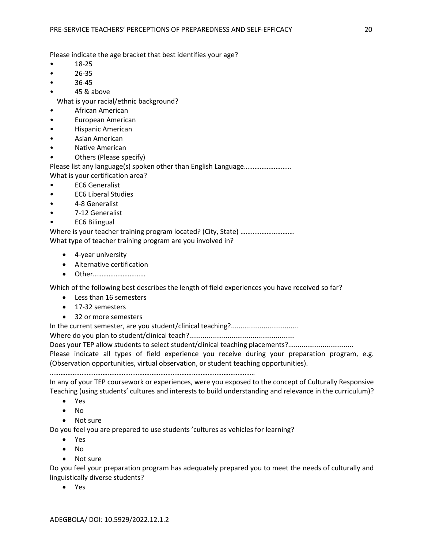Please indicate the age bracket that best identifies your age?

- 18-25
- 26-35
- 36-45
- 45 & above

What is your racial/ethnic background?

- African American
- European American
- Hispanic American
- Asian American
- Native American
- Others (Please specify)

Please list any language(s) spoken other than English Language……………………… What is your certification area?

- EC6 Generalist
- EC6 Liberal Studies
- 4-8 Generalist
- 7-12 Generalist
- EC6 Bilingual

Where is your teacher training program located? (City, State) ……………………………………………… What type of teacher training program are you involved in?

- 4-year university
- Alternative certification
- Other…………………………

Which of the following best describes the length of field experiences you have received so far?

- Less than 16 semesters
- 17-32 semesters
- 32 or more semesters

In the current semester, are you student/clinical teaching?...................................

Where do you plan to student/clinical teach?.......................................................

Does your TEP allow students to select student/clinical teaching placements?.................................

Please indicate all types of field experience you receive during your preparation program, e.g. (Observation opportunities, virtual observation, or student teaching opportunities).

………………………………………………………………………………………………………

In any of your TEP coursework or experiences, were you exposed to the concept of Culturally Responsive Teaching (using students' cultures and interests to build understanding and relevance in the curriculum)?

- Yes
- No
- Not sure

Do you feel you are prepared to use students 'cultures as vehicles for learning?

- Yes
- No
- Not sure

Do you feel your preparation program has adequately prepared you to meet the needs of culturally and linguistically diverse students?

• Yes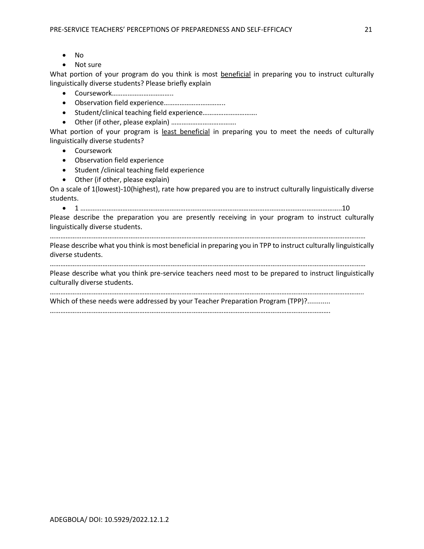- No
- Not sure

What portion of your program do you think is most beneficial in preparing you to instruct culturally linguistically diverse students? Please briefly explain

- Coursework……………………………..
- Observation field experience……………………………..
- Student/clinical teaching field experience………………………….
- Other (if other, please explain) ……………………………….

What portion of your program is least beneficial in preparing you to meet the needs of culturally linguistically diverse students?

- Coursework
- Observation field experience
- Student /clinical teaching field experience
- Other (if other, please explain)

On a scale of 1(lowest)-10(highest), rate how prepared you are to instruct culturally linguistically diverse students.

• 1 …………………………………………………………………………………………………………………………………..10

Please describe the preparation you are presently receiving in your program to instruct culturally linguistically diverse students.

……………………………………………………………………………………………………………………………………………………………… Please describe what you think is most beneficial in preparing you in TPP to instruct culturally linguistically

diverse students.

………………………………………………………………………………………………………………………………………………………………

Please describe what you think pre-service teachers need most to be prepared to instruct linguistically culturally diverse students.

……………………………………………………………………………………………………………………………………………………………..

Which of these needs were addressed by your Teacher Preparation Program (TPP)?............

…………………………………………………………………………………………………………………………………………….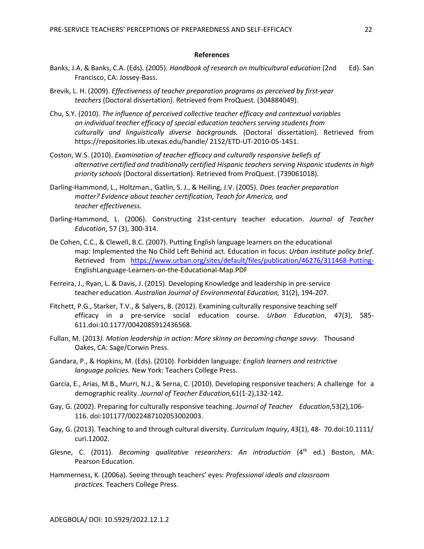#### **References**

- Banks, J.A. & Banks, C.A. (Eds). (2005). *Handbook of research on multicultural education* (2nd Ed). San Francisco, CA: Jossey-Bass.
- Brevik, L. H. (2009). *Effectiveness of teacher preparation programs as perceived by first-year teachers* (Doctoral dissertation). Retrieved from ProQuest. (304884049).
- Chu, S.Y. (2010). *The influence of perceived collective teacher efficacy and contextual variables on individual teacher efficacy of special education teachers serving students from culturally and linguistically diverse backgrounds.* (Doctoral dissertation). Retrieved from https://repositories.lib.utexas.edu/handle/ 2152/ETD-UT-2010-05-1451.
- Coston, W.S. (2010). *Examination of teacher efficacy and culturally responsive beliefs of alternative certified and traditionally certified Hispanic teachers serving Hispanic students in high priority schools* (Doctoral dissertation). Retrieved from ProQuest. (739061018).
- Darling-Hammond, L., Holtzman., Gatlin, S. J., & Heiling, J.V. (2005). *Does teacher preparation matter? Evidence about teacher certification, Teach for America, and teacher effectiveness.*
- Darling-Hammond, L. (2006). Constructing 21st-century teacher education. *Journal of Teacher Education*, 57 (3), 300-314.
- De Cohen, C.C., & Clewell, B.C. (2007). Putting English language learners on the educational map: Implemented the No Child Left Behind act. Education in focus: *Urban institute policy brief*. Retrieved from <https://www.urban.org/sites/default/files/publication/46276/311468-Putting->EnglishLanguage-Learners-on-the-Educational-Map.PDF
- Ferreira, J., Ryan, L. & Davis, J. (2015). Developing Knowledge and leadership in pre-service teacher education. *Australian Journal of Environmental Education,* 31(2), 194-207.
- Fitchett, P.G., Starker, T.V., & Salyers, B. (2012). Examining culturally responsive teaching self efficacy in a pre-service social education course. *Urban Education*, 47(3), 585- 611.doi:10.1177/0042085912436568.
- Fullan, M. (2013*). Motion leadership in action: More skinny on becoming change savvy*. Thousand Oakes, CA: Sage/Corwin Press.
- Gandara, P., & Hopkins, M. (Eds). (2010). Forbidden language*: English learners and restrictive language policies.* New York: Teachers College Press.
- Garcia, E., Arias, M.B., Murri, N.J., & Serna, C. (2010). Developing responsive teachers: A challenge for a demographic reality. *Journal of Teacher Education,*61(1-2),132-142.
- Gay, G. (2002). Preparing for culturally responsive teaching. *Journal of Teacher Education*,53(2),106- 116. doi:101177/0022487102053002003.
- Gay, G. (2013). Teaching to and through cultural diversity. *Curriculum Inquiry*, 43(1), 48- 70.doi:10.1111/ curi.12002.
- Glesne, C. (2011). *Becoming qualitative researchers: An introduction* (4<sup>th</sup> ed.) Boston, MA: Pearson Education.
- Hammerness, K. (2006a). Seeing through teachers' eyes: *Professional ideals and classroom practices.* Teachers College Press.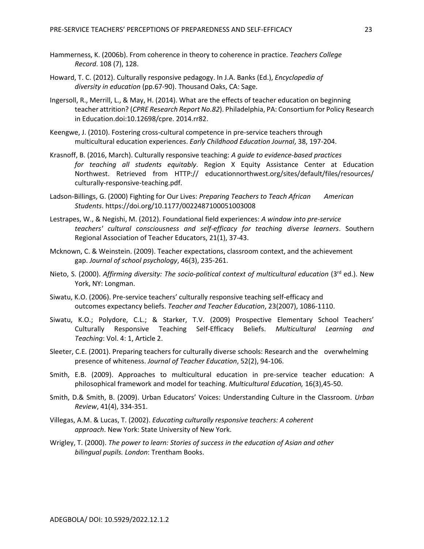- Hammerness, K. (2006b). From coherence in theory to coherence in practice. *Teachers College Record*. 108 (7), 128.
- Howard, T. C. (2012). Culturally responsive pedagogy. In J.A. Banks (Ed.), *Encyclopedia of diversity in education* (pp.67-90). Thousand Oaks, CA: Sage.
- Ingersoll, R., Merrill, L., & May, H. (2014). What are the effects of teacher education on beginning teacher attrition? (*CPRE Research Report No.82*). Philadelphia, PA: Consortium for Policy Research in Education.doi:10.12698/cpre. 2014.rr82.
- Keengwe, J. (2010). Fostering cross-cultural competence in pre-service teachers through multicultural education experiences. *Early Childhood Education Journal*, 38, 197-204.
- Krasnoff, B. (2016, March). Culturally responsive teaching: *A guide to evidence-based practices for teaching all students equitably*. Region X Equity Assistance Center at Education Northwest. Retrieved from HTTP:// educationnorthwest.org/sites/default/files/resources/ culturally-responsive-teaching.pdf.
- Ladson-Billings, G. (2000) Fighting for Our Lives: *Preparing Teachers to Teach African* American *Students*. https://doi.org/10.1177/0022487100051003008
- Lestrapes, W., & Negishi, M. (2012). Foundational field experiences: *A window into pre-service teachers' cultural consciousness and self-efficacy for teaching diverse learners*. Southern Regional Association of Teacher Educators, 21(1), 37-43.
- Mcknown, C. & Weinstein. (2009). Teacher expectations, classroom context, and the achievement gap. *Journal of school psychology*, 46(3), 235-261.
- Nieto, S. (2000). *Affirming diversity: The socio-political context of multicultural education* (3rd ed.). New York, NY: Longman.
- Siwatu, K.O. (2006). Pre-service teachers' culturally responsive teaching self-efficacy and outcomes expectancy beliefs. *Teacher and Teacher Education*, 23(2007), 1086-1110.
- Siwatu, K.O.; Polydore, C.L.; & Starker, T.V. (2009) Prospective Elementary School Teachers' Culturally Responsive Teaching Self‐Efficacy Beliefs. *Multicultural Learning and Teaching*: Vol. 4: 1, Article 2.
- Sleeter, C.E. (2001). Preparing teachers for culturally diverse schools: Research and the overwhelming presence of whiteness. *Journal of Teacher Education*, 52(2), 94-106.
- Smith, E.B. (2009). Approaches to multicultural education in pre-service teacher education: A philosophical framework and model for teaching. *Multicultural Education,* 16(3),45-50.
- Smith, D.& Smith, B. (2009). Urban Educators' Voices: Understanding Culture in the Classroom. *Urban Review*, 41(4), 334-351.
- Villegas, A.M. & Lucas, T. (2002). *Educating culturally responsive teachers: A coherent approach*. New York: State University of New York.
- Wrigley, T. (2000). *The power to learn: Stories of success in the education of Asian and other bilingual pupils. London*: Trentham Books.